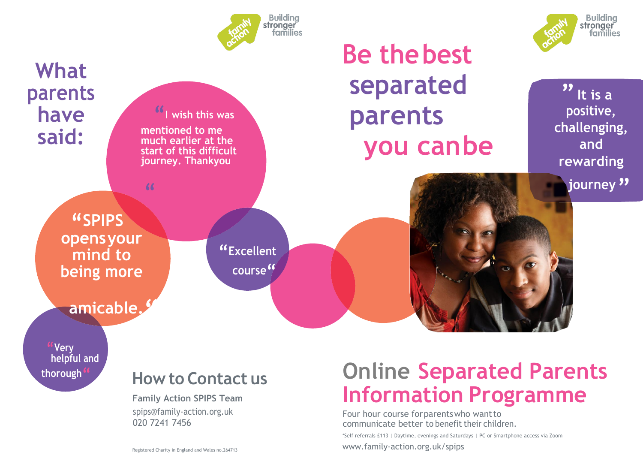





**" Very helpful and**

## **thorough" HowtoContact us**

**Family Action SPIPS Team**

[spips@family-action.org.uk](mailto:spips@family-action.org.uk) 020 7241 7456

Registered Charity in England and Wales no.264713

# **Online Separated Parents Information Programme**

Four hour course forparentswho wantto communicate better to benefit their children.

\*Self referrals £113 | Daytime, evenings and Saturdays | PC or Smartphone access via Zoom

[www.family-action.org.uk/](http://www.family-action.org.uk/)spips